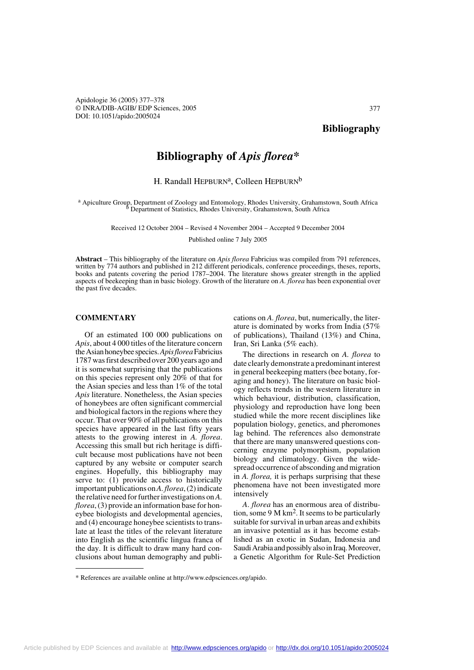Apidologie 36 (2005) 377–378 © INRA/DIB-AGIB/ EDP Sciences, 2005 DOI: 10.1051/apido:2005024

377

## **Bibliography of** *Apis florea\**

## H. Randall HEPBURN<sup>a</sup>, Colleen HEPBURN<sup>b</sup>

a Apiculture Group, Department of Zoology and Entomology, Rhodes University, Grahamstown, South Africa <sup>b</sup> Department of Statistics, Rhodes University, Grahamstown, South Africa

> Received 12 October 2004 – Revised 4 November 2004 – Accepted 9 December 2004 Published online 7 July 2005

**Abstract** – This bibliography of the literature on *Apis florea* Fabricius was compiled from 791 references, written by 774 authors and published in 212 different periodicals, conference proceedings, theses, reports, books and patents covering the period 1787–2004. The literature shows greater strength in the applied aspects of beekeeping than in basic biology. Growth of the literature on *A. florea* has been exponential over the past five decades.

## **COMMENTARY**

Of an estimated 100 000 publications on *Apis*, about 4 000 titles of the literature concern the Asian honeybee species. *Apis florea* Fabricius 1787 was first described over 200 years ago and it is somewhat surprising that the publications on this species represent only 20% of that for the Asian species and less than 1% of the total *Apis* literature. Nonetheless, the Asian species of honeybees are often significant commercial and biological factors in the regions where they occur. That over 90% of all publications on this species have appeared in the last fifty years attests to the growing interest in *A. florea*. Accessing this small but rich heritage is difficult because most publications have not been captured by any website or computer search engines. Hopefully, this bibliography may serve to: (1) provide access to historically important publications on *A. florea*, (2) indicate the relative need for further investigations on *A. florea*, (3) provide an information base for honeybee biologists and developmental agencies, and (4) encourage honeybee scientists to translate at least the titles of the relevant literature into English as the scientific lingua franca of the day. It is difficult to draw many hard conclusions about human demography and publications on *A. florea*, but, numerically, the literature is dominated by works from India (57% of publications), Thailand (13%) and China, Iran, Sri Lanka (5% each).

The directions in research on *A. florea* to date clearly demonstrate a predominant interest in general beekeeping matters (bee botany, foraging and honey). The literature on basic biology reflects trends in the western literature in which behaviour, distribution, classification, physiology and reproduction have long been studied while the more recent disciplines like population biology, genetics, and pheromones lag behind. The references also demonstrate that there are many unanswered questions concerning enzyme polymorphism, population biology and climatology. Given the widespread occurrence of absconding and migration in *A. florea,* it is perhaps surprising that these phenomena have not been investigated more intensively

*A*. *florea* has an enormous area of distribution, some 9 M km<sup>2</sup>. It seems to be particularly suitable for survival in urban areas and exhibits an invasive potential as it has become established as an exotic in Sudan, Indonesia and Saudi Arabia and possibly also in Iraq. Moreover, a Genetic Algorithm for Rule-Set Prediction

<sup>\*</sup> References are available online at http://www.edpsciences.org/apido.